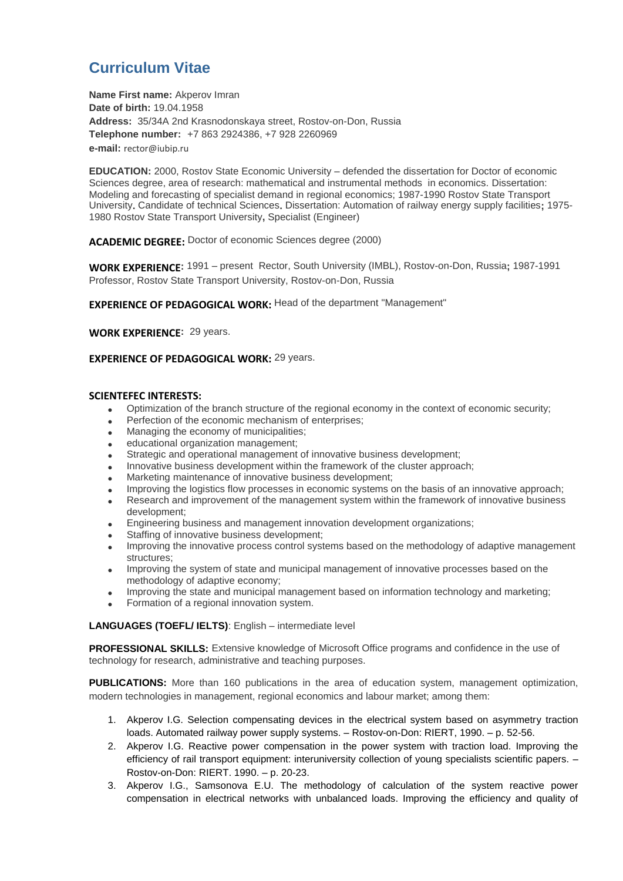# **Curriculum Vitae**

**Name First name:** Akperov Imran **Date of birth:** 19.04.1958 **Address:** 35/34A 2nd Krasnodonskaya street, Rostov-on-Don, Russia **Telephone number:** +7 863 2924386, +7 928 2260969 **e-mail:** [rector@iubip.ru](mailto:rector@iubip.ru)

**EDUCATION:** 2000, Rostov State Economic University – defended the dissertation for Doctor of economic Sciences degree, area of research: mathematical and instrumental methods in economics. Dissertation: Modeling and forecasting of specialist demand in regional economics; 1987-1990 Rostov State Transport University**.** Candidate of technical Sciences**.** Dissertation: Automation of railway energy supply facilities**;** 1975- 1980 Rostov State Transport University**,** Specialist (Engineer)

**ACADEMIC DEGREE:** Doctor of economic Sciences degree (2000)

**WORK EXPERIENCE:** 1991 – present Rector, South University (IMBL), Rostov-on-Don, Russia**;** 1987-1991 Professor, Rostov State Transport University, Rostov-on-Don, Russia

**EXPERIENCE OF PEDAGOGICAL WORK:** Head of the department "Management"

**WORK EXPERIENCE:** 29 years.

### **EXPERIENCE OF PEDAGOGICAL WORK:** 29 years.

#### **SCIENTEFEC INTERESTS:**

- Optimization of the branch structure of the regional economy in the context of economic security;
- Perfection of the economic mechanism of enterprises;
- Managing the economy of municipalities;
- educational organization management;
- Strategic and operational management of innovative business development;
- Innovative business development within the framework of the cluster approach;
- Marketing maintenance of innovative business development;
- Improving the logistics flow processes in economic systems on the basis of an innovative approach;
- Research and improvement of the management system within the framework of innovative business development;
- Engineering business and management innovation development organizations;
- Staffing of innovative business development;
- Improving the innovative process control systems based on the methodology of adaptive management structures;
- Improving the system of state and municipal management of innovative processes based on the methodology of adaptive economy;
- Improving the state and municipal management based on information technology and marketing;
- Formation of a regional innovation system.

**LANGUAGES (TOEFL/ IELTS)**: English – intermediate level

**PROFESSIONAL SKILLS:** Extensive knowledge of Microsoft Office programs and confidence in the use of technology for research, administrative and teaching purposes.

**PUBLICATIONS:** More than 160 publications in the area of education system, management optimization, modern technologies in management, regional economics and labour market; among them:

- 1. Akperov I.G. Selection compensating devices in the electrical system based on asymmetry traction loads. Automated railway power supply systems. – Rostov-on-Don: RIERT, 1990. – p. 52-56.
- 2. Akperov I.G. Reactive power compensation in the power system with traction load. Improving the efficiency of rail transport equipment: interuniversity collection of young specialists scientific papers. – Rostov-on-Don: RIERT. 1990. – p. 20-23.
- 3. Akperov I.G., Samsonova E.U. The methodology of calculation of the system reactive power compensation in electrical networks with unbalanced loads. Improving the efficiency and quality of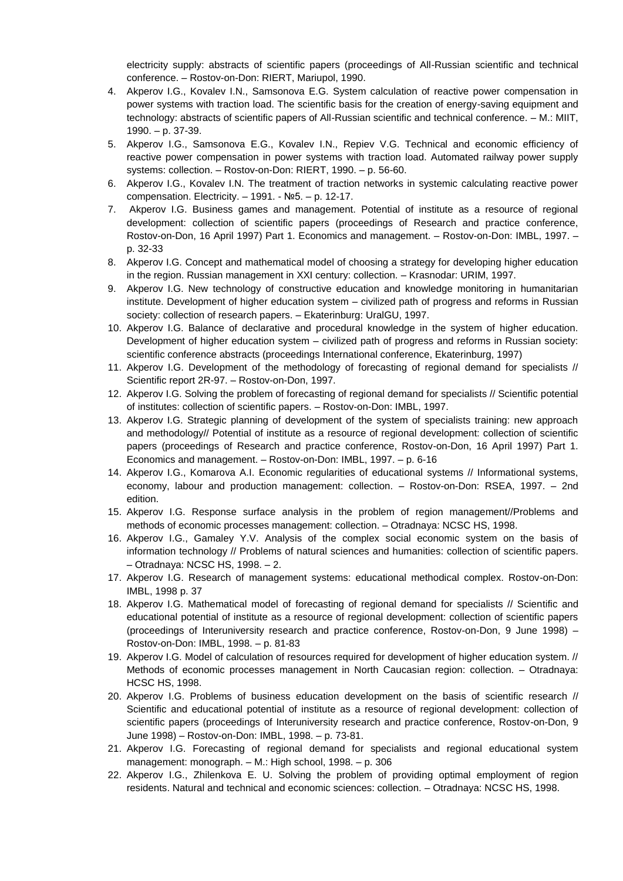electricity supply: abstracts of scientific papers (proceedings of All-Russian scientific and technical conference. – Rostov-on-Don: RIERT, Mariupol, 1990.

- 4. Akperov I.G., Kovalev I.N., Samsonova E.G. System calculation of reactive power compensation in power systems with traction load. The scientific basis for the creation of energy-saving equipment and technology: abstracts of scientific papers of All-Russian scientific and technical conference. – M.: MIIT, 1990. – p. 37-39.
- 5. Akperov I.G., Samsonova E.G., Kovalev I.N., Repiev V.G. Technical and economic efficiency of reactive power compensation in power systems with traction load. Automated railway power supply systems: collection. – Rostov-on-Don: RIERT, 1990. – p. 56-60.
- 6. Akperov I.G., Kovalev I.N. The treatment of traction networks in systemic calculating reactive power compensation. Electricity.  $-$  1991. -  $N<sub>2</sub>5. - p.$  12-17.
- 7. Akperov I.G. Business games and management. Potential of institute as a resource of regional development: collection of scientific papers (proceedings of Research and practice conference, Rostov-on-Don, 16 April 1997) Part 1. Economics and management. – Rostov-on-Don: IMBL, 1997. – p. 32-33
- 8. Akperov I.G. Concept and mathematical model of choosing a strategy for developing higher education in the region. Russian management in XXI century: collection. – Krasnodar: URIM, 1997.
- 9. Akperov I.G. New technology of constructive education and knowledge monitoring in humanitarian institute. Development of higher education system – civilized path of progress and reforms in Russian society: collection of research papers. – Ekaterinburg: UralGU, 1997.
- 10. Akperov I.G. Balance of declarative and procedural knowledge in the system of higher education. Development of higher education system – civilized path of progress and reforms in Russian society: scientific conference abstracts (proceedings International conference, Ekaterinburg, 1997)
- 11. Akperov I.G. Development of the methodology of forecasting of regional demand for specialists // Scientific report 2R-97. – Rostov-on-Don, 1997.
- 12. Akperov I.G. Solving the problem of forecasting of regional demand for specialists // Scientific potential of institutes: collection of scientific papers. – Rostov-on-Don: IMBL, 1997.
- 13. Akperov I.G. Strategic planning of development of the system of specialists training: new approach and methodology// Potential of institute as a resource of regional development: collection of scientific papers (proceedings of Research and practice conference, Rostov-on-Don, 16 April 1997) Part 1. Economics and management. – Rostov-on-Don: IMBL, 1997. – p. 6-16
- 14. Akperov I.G., Komarova A.I. Economic regularities of educational systems // Informational systems, economy, labour and production management: collection. – Rostov-on-Don: RSEA, 1997. – 2nd edition.
- 15. Akperov I.G. Response surface analysis in the problem of region management//Problems and methods of economic processes management: collection. – Otradnaya: NCSC HS, 1998.
- 16. Akperov I.G., Gamaley Y.V. Analysis of the complex social economic system on the basis of information technology // Problems of natural sciences and humanities: collection of scientific papers. – Otradnaya: NCSC HS, 1998. – 2.
- 17. Akperov I.G. Research of management systems: educational methodical complex. Rostov-on-Don: IMBL, 1998 p. 37
- 18. Akperov I.G. Mathematical model of forecasting of regional demand for specialists // Scientific and educational potential of institute as a resource of regional development: collection of scientific papers (proceedings of Interuniversity research and practice conference, Rostov-on-Don, 9 June 1998) – Rostov-on-Don: IMBL, 1998. – p. 81-83
- 19. Akperov I.G. Model of calculation of resources required for development of higher education system. // Methods of economic processes management in North Caucasian region: collection. – Otradnaya: HCSC HS, 1998.
- 20. Akperov I.G. Problems of business education development on the basis of scientific research // Scientific and educational potential of institute as a resource of regional development: collection of scientific papers (proceedings of Interuniversity research and practice conference, Rostov-on-Don, 9 June 1998) – Rostov-on-Don: IMBL, 1998. – p. 73-81.
- 21. Akperov I.G. Forecasting of regional demand for specialists and regional educational system management: monograph. – M.: High school, 1998. – p. 306
- 22. Akperov I.G., Zhilenkova E. U. Solving the problem of providing optimal employment of region residents. Natural and technical and economic sciences: collection. – Otradnaya: NCSC HS, 1998.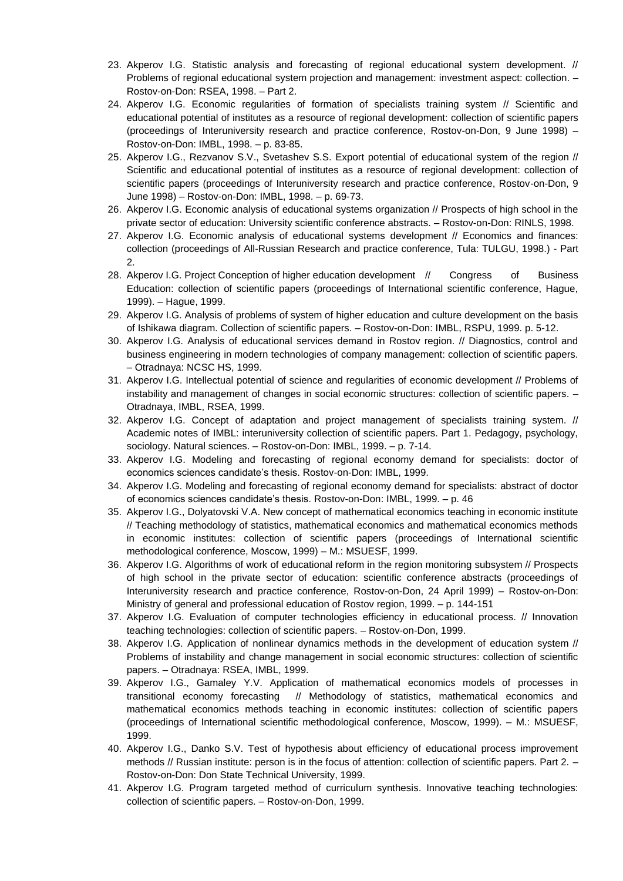- 23. Akperov I.G. Statistic analysis and forecasting of regional educational system development. // Problems of regional educational system projection and management: investment aspect: collection. – Rostov-on-Don: RSEA, 1998. – Part 2.
- 24. Akperov I.G. Economic regularities of formation of specialists training system // Scientific and educational potential of institutes as a resource of regional development: collection of scientific papers (proceedings of Interuniversity research and practice conference, Rostov-on-Don, 9 June 1998) – Rostov-on-Don: IMBL, 1998. – p. 83-85.
- 25. Akperov I.G., Rezvanov S.V., Svetashev S.S. Export potential of educational system of the region // Scientific and educational potential of institutes as a resource of regional development: collection of scientific papers (proceedings of Interuniversity research and practice conference, Rostov-on-Don, 9 June 1998) – Rostov-on-Don: IMBL, 1998. – p. 69-73.
- 26. Akperov I.G. Economic analysis of educational systems organization // Prospects of high school in the private sector of education: University scientific conference abstracts. – Rostov-on-Don: RINLS, 1998.
- 27. Akperov I.G. Economic analysis of educational systems development // Economics and finances: collection (proceedings of All-Russian Research and practice conference, Tula: TULGU, 1998.) - Part 2.
- 28. Akperov I.G. Project Conception of higher education development // Congress of Business Education: collection of scientific papers (proceedings of International scientific conference, Hague, 1999). – Hague, 1999.
- 29. Akperov I.G. Analysis of problems of system of higher education and culture development on the basis of Ishikawa diagram. Collection of scientific papers. – Rostov-on-Don: IMBL, RSPU, 1999. p. 5-12.
- 30. Akperov I.G. Analysis of educational services demand in Rostov region. // Diagnostics, control and business engineering in modern technologies of company management: collection of scientific papers. – Otradnaya: NCSC HS, 1999.
- 31. Akperov I.G. Intellectual potential of science and regularities of economic development // Problems of instability and management of changes in social economic structures: collection of scientific papers. – Otradnaya, IMBL, RSEA, 1999.
- 32. Akperov I.G. Concept of adaptation and project management of specialists training system. // Academic notes of IMBL: interuniversity collection of scientific papers. Part 1. Pedagogy, psychology, sociology. Natural sciences. – Rostov-on-Don: IMBL, 1999. – p. 7-14.
- 33. Akperov I.G. Modeling and forecasting of regional economy demand for specialists: doctor of economics sciences candidate's thesis. Rostov-on-Don: IMBL, 1999.
- 34. Akperov I.G. Modeling and forecasting of regional economy demand for specialists: abstract of doctor of economics sciences candidate's thesis. Rostov-on-Don: IMBL, 1999. – p. 46
- 35. Akperov I.G., Dolyatovski V.A. New concept of mathematical economics teaching in economic institute // Teaching methodology of statistics, mathematical economics and mathematical economics methods in economic institutes: collection of scientific papers (proceedings of International scientific methodological conference, Moscow, 1999) – M.: MSUESF, 1999.
- 36. Akperov I.G. Algorithms of work of educational reform in the region monitoring subsystem // Prospects of high school in the private sector of education: scientific conference abstracts (proceedings of Interuniversity research and practice conference, Rostov-on-Don, 24 April 1999) – Rostov-on-Don: Ministry of general and professional education of Rostov region, 1999. – p. 144-151
- 37. Akperov I.G. Evaluation of computer technologies efficiency in educational process. // Innovation teaching technologies: collection of scientific papers. – Rostov-on-Don, 1999.
- 38. Akperov I.G. Application of nonlinear dynamics methods in the development of education system // Problems of instability and change management in social economic structures: collection of scientific papers. – Otradnaya: RSEA, IMBL, 1999.
- 39. Akperov I.G., Gamaley Y.V. Application of mathematical economics models of processes in transitional economy forecasting // Methodology of statistics, mathematical economics and mathematical economics methods teaching in economic institutes: collection of scientific papers (proceedings of International scientific methodological conference, Moscow, 1999). – M.: MSUESF, 1999.
- 40. Akperov I.G., Danko S.V. Test of hypothesis about efficiency of educational process improvement methods // Russian institute: person is in the focus of attention: collection of scientific papers. Part 2. – Rostov-on-Don: Don State Technical University, 1999.
- 41. Akperov I.G. Program targeted method of curriculum synthesis. Innovative teaching technologies: collection of scientific papers. – Rostov-on-Don, 1999.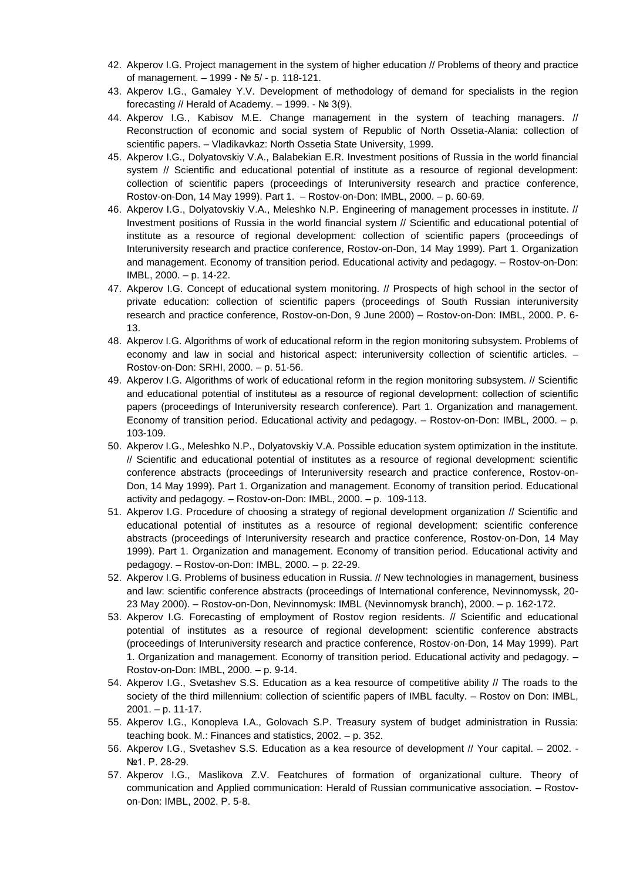- 42. Akperov I.G. Project management in the system of higher education // Problems of theory and practice of management. – 1999 - № 5/ - p. 118-121.
- 43. Akperov I.G., Gamaley Y.V. Development of methodology of demand for specialists in the region forecasting // Herald of Academy. – 1999. - № 3(9).
- 44. Akperov I.G., Kabisov M.E. Change management in the system of teaching managers. // Reconstruction of economic and social system of Republic of North Ossetia-Alania: collection of scientific papers. – Vladikavkaz: North Ossetia State University, 1999.
- 45. Akperov I.G., Dolyatovskiy V.A., Balabekian E.R. Investment positions of Russia in the world financial system // Scientific and educational potential of institute as a resource of regional development: collection of scientific papers (proceedings of Interuniversity research and practice conference, Rostov-on-Don, 14 May 1999). Part 1. – Rostov-on-Don: IMBL, 2000. – p. 60-69.
- 46. Akperov I.G., Dolyatovskiy V.A., Meleshko N.P. Engineering of management processes in institute. // Investment positions of Russia in the world financial system // Scientific and educational potential of institute as a resource of regional development: collection of scientific papers (proceedings of Interuniversity research and practice conference, Rostov-on-Don, 14 May 1999). Part 1. Organization and management. Economy of transition period. Educational activity and pedagogy. – Rostov-on-Don: IMBL, 2000. – p. 14-22.
- 47. Akperov I.G. Concept of educational system monitoring. // Prospects of high school in the sector of private education: collection of scientific papers (proceedings of South Russian interuniversity research and practice conference, Rostov-on-Don, 9 June 2000) – Rostov-on-Don: IMBL, 2000. P. 6- 13.
- 48. Akperov I.G. Algorithms of work of educational reform in the region monitoring subsystem. Problems of economy and law in social and historical aspect: interuniversity collection of scientific articles. – Rostov-on-Don: SRHI, 2000. – p. 51-56.
- 49. Akperov I.G. Algorithms of work of educational reform in the region monitoring subsystem. // Scientific and educational potential of instituteы as a resource of regional development: collection of scientific papers (proceedings of Interuniversity research conference). Part 1. Organization and management. Economy of transition period. Educational activity and pedagogy. – Rostov-on-Don: IMBL, 2000. – p. 103-109.
- 50. Akperov I.G., Meleshko N.P., Dolyatovskiy V.A. Possible education system optimization in the institute. // Scientific and educational potential of institutes as a resource of regional development: scientific conference abstracts (proceedings of Interuniversity research and practice conference, Rostov-on-Don, 14 May 1999). Part 1. Organization and management. Economy of transition period. Educational activity and pedagogy. – Rostov-on-Don: IMBL, 2000. – p. 109-113.
- 51. Akperov I.G. Procedure of choosing a strategy of regional development organization // Scientific and educational potential of institutes as a resource of regional development: scientific conference abstracts (proceedings of Interuniversity research and practice conference, Rostov-on-Don, 14 May 1999). Part 1. Organization and management. Economy of transition period. Educational activity and pedagogy. – Rostov-on-Don: IMBL, 2000. – p. 22-29.
- 52. Akperov I.G. Problems of business education in Russia. // New technologies in management, business and law: scientific conference abstracts (proceedings of International conference, Nevinnomyssk, 20- 23 May 2000). – Rostov-on-Don, Nevinnomysk: IMBL (Nevinnomysk branch), 2000. – p. 162-172.
- 53. Akperov I.G. Forecasting of employment of Rostov region residents. // Scientific and educational potential of institutes as a resource of regional development: scientific conference abstracts (proceedings of Interuniversity research and practice conference, Rostov-on-Don, 14 May 1999). Part 1. Organization and management. Economy of transition period. Educational activity and pedagogy. – Rostov-on-Don: IMBL, 2000. – p. 9-14.
- 54. Akperov I.G., Svetashev S.S. Education as a kea resource of competitive ability // The roads to the society of the third millennium: collection of scientific papers of IMBL faculty. – Rostov on Don: IMBL, 2001. – p. 11-17.
- 55. Akperov I.G., Konopleva I.A., Golovach S.P. Treasury system of budget administration in Russia: teaching book. M.: Finances and statistics, 2002. – p. 352.
- 56. Akperov I.G., Svetashev S.S. Education as a kea resource of development // Your capital. 2002. №1. P. 28-29.
- 57. Akperov I.G., Maslikova Z.V. Featchures of formation of organizational culture. Theory of communication and Applied communication: Herald of Russian communicative association. – Rostovon-Don: IMBL, 2002. P. 5-8.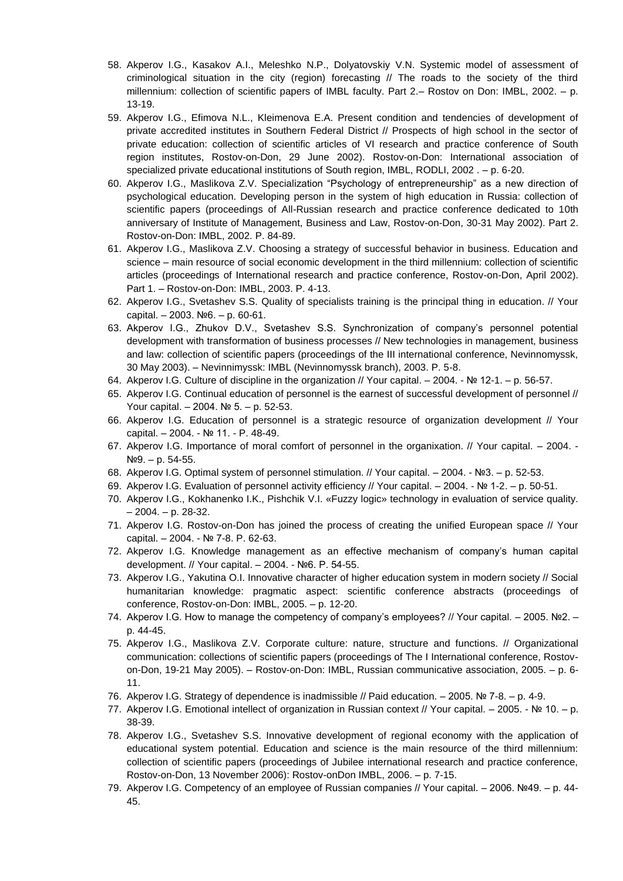- 58. Akperov I.G., Kasakov A.I., Meleshko N.P., Dolyatovskiy V.N. Systemic model of assessment of criminological situation in the city (region) forecasting // The roads to the society of the third millennium: collection of scientific papers of IMBL faculty. Part 2.– Rostov on Don: IMBL, 2002. – p. 13-19.
- 59. Akperov I.G., Efimova N.L., Kleimenova E.A. Present condition and tendencies of development of private accredited institutes in Southern Federal District // Prospects of high school in the sector of private education: collection of scientific articles of VI research and practice conference of South region institutes, Rostov-on-Don, 29 June 2002). Rostov-on-Don: International association of specialized private educational institutions of South region, IMBL, RODLI, 2002 . – p. 6-20.
- 60. Akperov I.G., Maslikova Z.V. Specialization "Psychology of entrepreneurship" as a new direction of psychological education. Developing person in the system of high education in Russia: collection of scientific papers (proceedings of All-Russian research and practice conference dedicated to 10th anniversary of Institute of Management, Business and Law, Rostov-on-Don, 30-31 May 2002). Part 2. Rostov-on-Don: IMBL, 2002. P. 84-89.
- 61. Akperov I.G., Maslikova Z.V. Choosing a strategy of successful behavior in business. Education and science – main resource of social economic development in the third millennium: collection of scientific articles (proceedings of International research and practice conference, Rostov-on-Don, April 2002). Part 1. – Rostov-on-Don: IMBL, 2003. P. 4-13.
- 62. Akperov I.G., Svetashev S.S. Quality of specialists training is the principal thing in education. // Your capital. – 2003. №6. – p. 60-61.
- 63. Akperov I.G., Zhukov D.V., Svetashev S.S. Synchronization of company's personnel potential development with transformation of business processes // New technologies in management, business and law: collection of scientific papers (proceedings of the III international conference, Nevinnomyssk, 30 May 2003). – Nevinnimyssk: IMBL (Nevinnomyssk branch), 2003. P. 5-8.
- 64. Akperov I.G. Culture of discipline in the organization // Your capital. 2004. № 12-1. p. 56-57.
- 65. Akperov I.G. Continual education of personnel is the earnest of successful development of personnel // Your capital. – 2004. № 5. – p. 52-53.
- 66. Akperov I.G. Education of personnel is a strategic resource of organization development // Your capital. – 2004. - № 11. - P. 48-49.
- 67. Akperov I.G. Importance of moral comfort of personnel in the organixation. // Your capital. 2004. -№9. – p. 54-55.
- 68. Akperov I.G. Optimal system of personnel stimulation. // Your capital. 2004. №3. p. 52-53.
- 69. Akperov I.G. Evaluation of personnel activity efficiency // Your capital. 2004. № 1-2. p. 50-51.
- 70. Akperov I.G., Kokhanenko I.K., Pishchik V.I. «Fuzzy logic» technology in evaluation of service quality.  $-2004. - p. 28-32.$
- 71. Akperov I.G. Rostov-on-Don has joined the process of creating the unified European space // Your capital. – 2004. - № 7-8. P. 62-63.
- 72. Akperov I.G. Knowledge management as an effective mechanism of company's human capital development. // Your capital. – 2004. - №6. P. 54-55.
- 73. Akperov I.G., Yakutina O.I. Innovative character of higher education system in modern society // Social humanitarian knowledge: pragmatic aspect: scientific conference abstracts (proceedings of conference, Rostov-on-Don: IMBL, 2005. – p. 12-20.
- 74. Akperov I.G. How to manage the competency of company's employees? // Your capital. 2005. №2. p. 44-45.
- 75. Akperov I.G., Maslikova Z.V. Corporate culture: nature, structure and functions. // Organizational communication: collections of scientific papers (proceedings of The I International conference, Rostovon-Don, 19-21 May 2005). – Rostov-on-Don: IMBL, Russian communicative association, 2005. – p. 6- 11.
- 76. Akperov I.G. Strategy of dependence is inadmissible // Paid education. 2005. № 7-8. p. 4-9.
- 77. Akperov I.G. Emotional intellect of organization in Russian context // Your capital. 2005. № 10. p. 38-39.
- 78. Akperov I.G., Svetashev S.S. Innovative development of regional economy with the application of educational system potential. Education and science is the main resource of the third millennium: collection of scientific papers (proceedings of Jubilee international research and practice conference, Rostov-on-Don, 13 November 2006): Rostov-onDon IMBL, 2006. – p. 7-15.
- 79. Akperov I.G. Competency of an employee of Russian companies // Your capital. 2006. №49. p. 44- 45.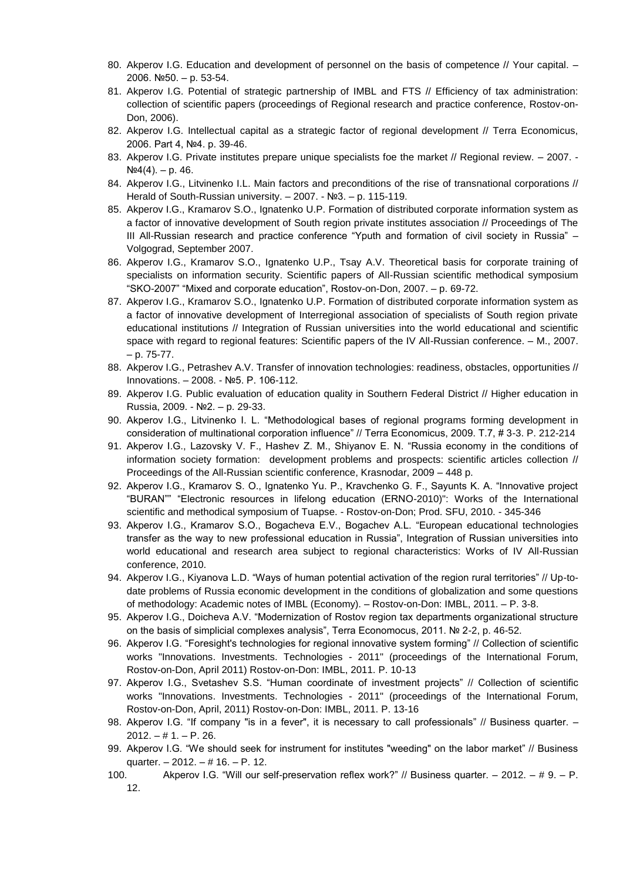- 80. Akperov I.G. Education and development of personnel on the basis of competence // Your capital. -2006. №50. – p. 53-54.
- 81. Akperov I.G. Potential of strategic partnership of IMBL and FTS // Efficiency of tax administration: collection of scientific papers (proceedings of Regional research and practice conference, Rostov-on-Don, 2006).
- 82. Akperov I.G. Intellectual capital as a strategic factor of regional development // Terra Economicus, 2006. Part 4, №4. p. 39-46.
- 83. Akperov I.G. Private institutes prepare unique specialists foe the market // Regional review. 2007. - $N<sup>0</sup>4(4)$ . – p. 46.
- 84. Akperov I.G., Litvinenko I.L. Main factors and preconditions of the rise of transnational corporations // Herald of South-Russian university. – 2007. - №3. – p. 115-119.
- 85. Akperov I.G., Kramarov S.O., Ignatenko U.P. Formation of distributed corporate information system as a factor of innovative development of South region private institutes association // Proceedings of The III All-Russian research and practice conference "Yputh and formation of civil society in Russia" – Volgograd, September 2007.
- 86. Akperov I.G., Kramarov S.O., Ignatenko U.P., Tsay A.V. Theoretical basis for corporate training of specialists on information security. Scientific papers of All-Russian scientific methodical symposium "SKO-2007" "Mixed and corporate education", Rostov-on-Don, 2007. – p. 69-72.
- 87. Akperov I.G., Kramarov S.O., Ignatenko U.P. Formation of distributed corporate information system as a factor of innovative development of Interregional association of specialists of South region private educational institutions // Integration of Russian universities into the world educational and scientific space with regard to regional features: Scientific papers of the IV All-Russian conference. – M., 2007. – p. 75-77.
- 88. Akperov I.G., Petrashev A.V. Transfer of innovation technologies: readiness, obstacles, opportunities // Innovations. – 2008. - №5. P. 106-112.
- 89. Akperov I.G. Public evaluation of education quality in Southern Federal District // Higher education in Russia, 2009. - №2. – p. 29-33.
- 90. Akperov I.G., Litvinenko I. L. "Methodological bases of regional programs forming development in consideration of multinational corporation influence" // Terra Economicus, 2009. T.7, # 3-3. P. 212-214
- 91. Akperov I.G., Lazovsky V. F., Hashev Z. M., Shiyanov E. N. "Russia economy in the conditions of information society formation: development problems and prospects: scientific articles collection // Proceedings of the All-Russian scientific conference, Krasnodar, 2009 – 448 p.
- 92. Akperov I.G., Kramarov S. O., Ignatenko Yu. P., Kravchenko G. F., Sayunts K. A. "Innovative project "BURAN"" "Electronic resources in lifelong education (ERNO-2010)": Works of the International scientific and methodical symposium of Tuapse. - Rostov-on-Don; Prod. SFU, 2010. - 345-346
- 93. Akperov I.G., Kramarov S.O., Bogacheva E.V., Bogachev A.L. "European educational technologies transfer as the way to new professional education in Russia", Integration of Russian universities into world educational and research area subject to regional characteristics: Works of IV All-Russian conference, 2010.
- 94. Akperov I.G., Kiyanova L.D. "Ways of human potential activation of the region rural territories" // Up-todate problems of Russia economic development in the conditions of globalization and some questions of methodology: Academic notes of IMBL (Economy). – Rostov-on-Don: IMBL, 2011. – P. 3-8.
- 95. Akperov I.G., Doicheva A.V. "Modernization of Rostov region tax departments organizational structure on the basis of simplicial complexes analysis", Terra Economocus, 2011. № 2-2, p. 46-52.
- 96. Akperov I.G. "Foresight's technologies for regional innovative system forming" // Collection of scientific works "Innovations. Investments. Technologies - 2011" (proceedings of the International Forum, Rostov-on-Don, April 2011) Rostov-on-Don: IMBL, 2011. P. 10-13
- 97. Akperov I.G., Svetashev S.S. "Human coordinate of investment projects" // Collection of scientific works "Innovations. Investments. Technologies - 2011" (proceedings of the International Forum, Rostov-on-Don, April, 2011) Rostov-on-Don: IMBL, 2011. P. 13-16
- 98. Akperov I.G. "If company "is in a fever", it is necessary to call professionals" // Business quarter. - $2012. - # 1. - P. 26.$
- 99. Akperov I.G. "We should seek for instrument for institutes "weeding" on the labor market" // Business quarter. – 2012. – # 16. – P. 12.
- 100. Akperov I.G. "Will our self-preservation reflex work?" // Business quarter. 2012. # 9. P. 12.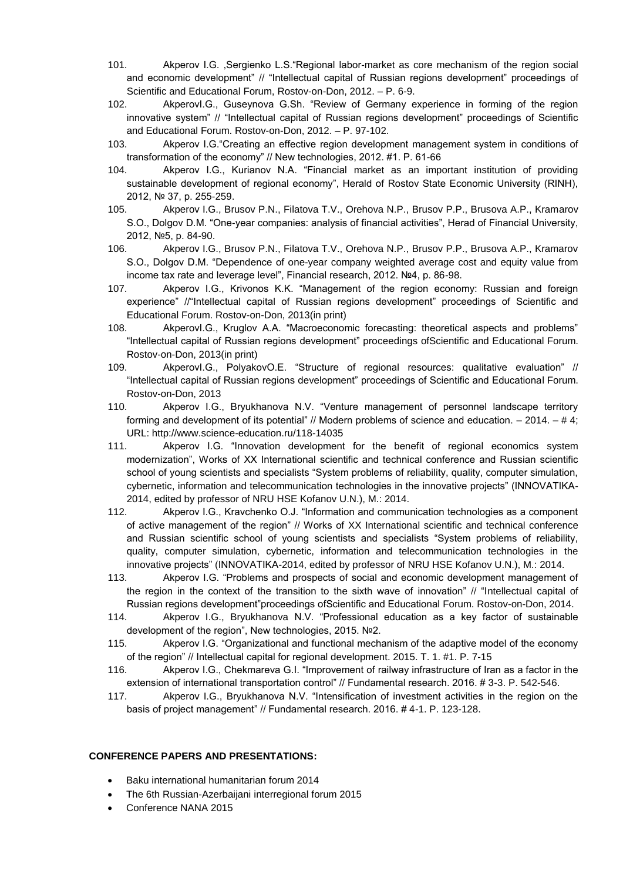- 101. Akperov I.G. ,Sergienko L.S."Regional labor-market as core mechanism of the region social and economic development" // "Intellectual capital of Russian regions development" proceedings of Scientific and Educational Forum, Rostov-on-Don, 2012. – P. 6-9.
- 102. AkperovI.G., Guseynova G.Sh. "Review of Germany experience in forming of the region innovative system" // "Intellectual capital of Russian regions development" proceedings of Scientific and Educational Forum. Rostov-on-Don, 2012. – P. 97-102.
- 103. Akperov I.G."Creating an effective region development management system in conditions of transformation of the economy" // New technologies, 2012. #1. P. 61-66
- 104. Akperov I.G., Kurianov N.A. "Financial market as an important institution of providing sustainable development of regional economy", Herald of Rostov State Economic University (RINH), 2012, № 37, p. 255-259.
- 105. Akperov I.G., Brusov P.N., Filatova T.V., Orehova N.P., Brusov P.P., Brusova A.P., Kramarov S.O., Dolgov D.M. "One-year companies: analysis of financial activities", Herad of Financial University, 2012, №5, p. 84-90.
- 106. Akperov I.G., Brusov P.N., Filatova T.V., Orehova N.P., Brusov P.P., Brusova A.P., Kramarov S.O., Dolgov D.M. "Dependence of one-year company weighted average cost and equity value from income tax rate and leverage level", Financial research, 2012. №4, p. 86-98.
- 107. Akperov I.G., Krivonos K.K. "Management of the region economy: Russian and foreign experience" //"Intellectual capital of Russian regions development" proceedings of Scientific and Educational Forum. Rostov-on-Don, 2013(in print)
- 108. AkperovI.G., Kruglov A.A. "Macroeconomic forecasting: theoretical aspects and problems" "Intellectual capital of Russian regions development" proceedings ofScientific and Educational Forum. Rostov-on-Don, 2013(in print)
- 109. AkperovI.G., PolyakovO.E. "Structure of regional resources: qualitative evaluation" // "Intellectual capital of Russian regions development" proceedings of Scientific and Educational Forum. Rostov-on-Don, 2013
- 110. Akperov I.G., Bryukhanova N.V. "Venture management of personnel landscape territory forming and development of its potential" // Modern problems of science and education. – 2014. – # 4; URL:<http://www.science-education.ru/118-14035>
- 111. Akperov I.G. "Innovation development for the benefit of regional economics system modernization", Works of XX International scientific and technical conference and Russian scientific school of young scientists and specialists "System problems of reliability, quality, computer simulation, cybernetic, information and telecommunication technologies in the innovative projects" (INNOVATIKA-2014, edited by professor of NRU HSE Kofanov U.N.), M.: 2014.
- 112. Akperov I.G., Kravchenko O.J. "Information and communication technologies as a component of active management of the region" // Works of XX International scientific and technical conference and Russian scientific school of young scientists and specialists "System problems of reliability, quality, computer simulation, cybernetic, information and telecommunication technologies in the innovative projects" (INNOVATIKA-2014, edited by professor of NRU HSE Kofanov U.N.), M.: 2014.
- 113. Akperov I.G. "Problems and prospects of social and economic development management of the region in the context of the transition to the sixth wave of innovation" // "Intellectual capital of Russian regions development"proceedings ofScientific and Educational Forum. Rostov-on-Don, 2014.
- 114. Akperov I.G., Bryukhanova N.V. "Professional education as a key factor of sustainable development of the region", New technologies, 2015. №2.
- 115. Akperov I.G. "Organizational and functional mechanism of the adaptive model of the economy of the region" // Intellectual capital for regional development. 2015. T. 1. #1. P. 7-15
- 116. Akperov I.G., Chekmareva G.I. "Improvement of railway infrastructure of Iran as a factor in the extension of international transportation control" // Fundamental research. 2016. #3-3. P. 542-546.
- 117. Akperov I.G., Bryukhanova N.V. "Intensification of investment activities in the region on the basis of project management" // Fundamental research. 2016. # 4-1. P. 123-128.

## **CONFERENCE PAPERS AND PRESENTATIONS:**

- Baku international humanitarian forum 2014
- [The 6th Russian-Azerbaijani interregional forum](http://photo.trend.az/en/politics/7549/88934.html) 2015
- Conference NANA 2015